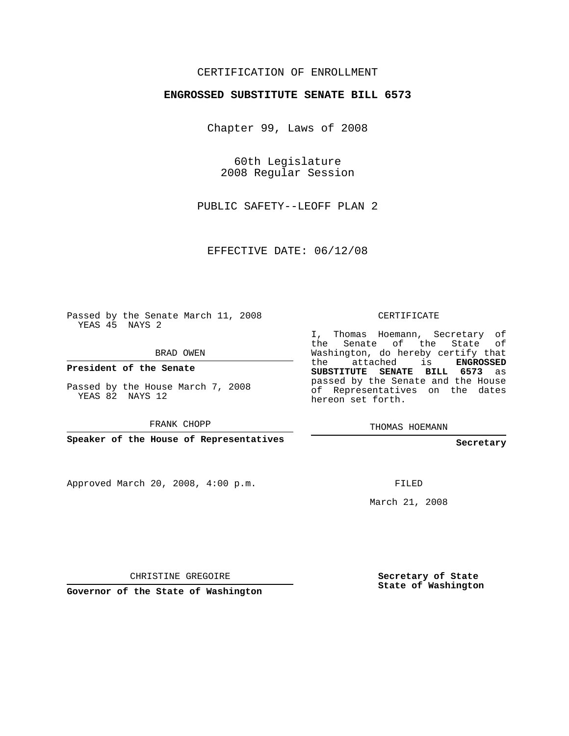## CERTIFICATION OF ENROLLMENT

#### **ENGROSSED SUBSTITUTE SENATE BILL 6573**

Chapter 99, Laws of 2008

60th Legislature 2008 Regular Session

PUBLIC SAFETY--LEOFF PLAN 2

EFFECTIVE DATE: 06/12/08

Passed by the Senate March 11, 2008 YEAS 45 NAYS 2

BRAD OWEN

**President of the Senate**

Passed by the House March 7, 2008 YEAS 82 NAYS 12

FRANK CHOPP

**Speaker of the House of Representatives**

Approved March 20, 2008, 4:00 p.m.

CERTIFICATE

I, Thomas Hoemann, Secretary of the Senate of the State of Washington, do hereby certify that the attached is **ENGROSSED SUBSTITUTE SENATE BILL 6573** as passed by the Senate and the House of Representatives on the dates hereon set forth.

THOMAS HOEMANN

**Secretary**

FILED

March 21, 2008

CHRISTINE GREGOIRE

**Governor of the State of Washington**

**Secretary of State State of Washington**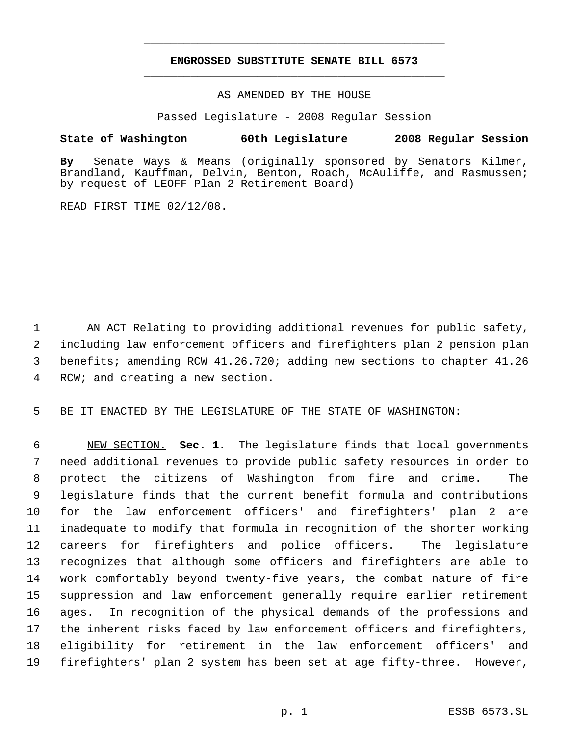# **ENGROSSED SUBSTITUTE SENATE BILL 6573** \_\_\_\_\_\_\_\_\_\_\_\_\_\_\_\_\_\_\_\_\_\_\_\_\_\_\_\_\_\_\_\_\_\_\_\_\_\_\_\_\_\_\_\_\_

\_\_\_\_\_\_\_\_\_\_\_\_\_\_\_\_\_\_\_\_\_\_\_\_\_\_\_\_\_\_\_\_\_\_\_\_\_\_\_\_\_\_\_\_\_

### AS AMENDED BY THE HOUSE

Passed Legislature - 2008 Regular Session

### **State of Washington 60th Legislature 2008 Regular Session**

**By** Senate Ways & Means (originally sponsored by Senators Kilmer, Brandland, Kauffman, Delvin, Benton, Roach, McAuliffe, and Rasmussen; by request of LEOFF Plan 2 Retirement Board)

READ FIRST TIME 02/12/08.

 AN ACT Relating to providing additional revenues for public safety, including law enforcement officers and firefighters plan 2 pension plan benefits; amending RCW 41.26.720; adding new sections to chapter 41.26 RCW; and creating a new section.

BE IT ENACTED BY THE LEGISLATURE OF THE STATE OF WASHINGTON:

 NEW SECTION. **Sec. 1.** The legislature finds that local governments need additional revenues to provide public safety resources in order to protect the citizens of Washington from fire and crime. The legislature finds that the current benefit formula and contributions for the law enforcement officers' and firefighters' plan 2 are inadequate to modify that formula in recognition of the shorter working careers for firefighters and police officers. The legislature recognizes that although some officers and firefighters are able to work comfortably beyond twenty-five years, the combat nature of fire suppression and law enforcement generally require earlier retirement ages. In recognition of the physical demands of the professions and the inherent risks faced by law enforcement officers and firefighters, eligibility for retirement in the law enforcement officers' and firefighters' plan 2 system has been set at age fifty-three. However,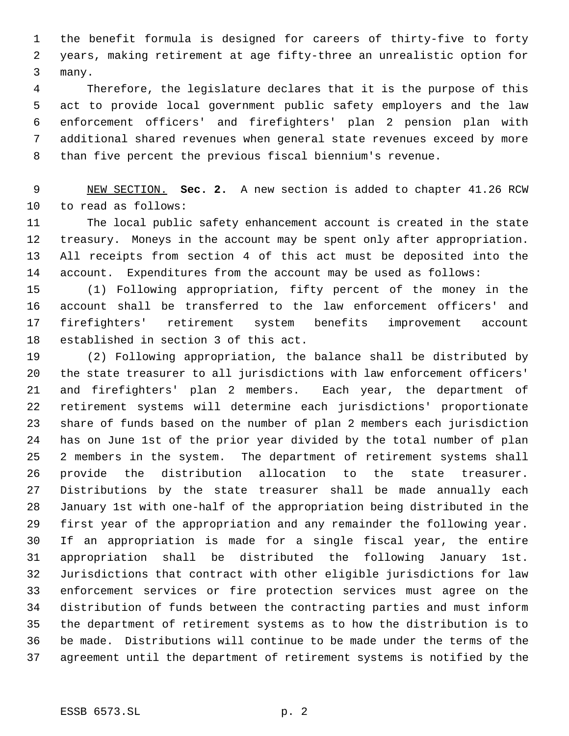the benefit formula is designed for careers of thirty-five to forty years, making retirement at age fifty-three an unrealistic option for many.

 Therefore, the legislature declares that it is the purpose of this act to provide local government public safety employers and the law enforcement officers' and firefighters' plan 2 pension plan with additional shared revenues when general state revenues exceed by more than five percent the previous fiscal biennium's revenue.

 NEW SECTION. **Sec. 2.** A new section is added to chapter 41.26 RCW to read as follows:

 The local public safety enhancement account is created in the state treasury. Moneys in the account may be spent only after appropriation. All receipts from section 4 of this act must be deposited into the account. Expenditures from the account may be used as follows:

 (1) Following appropriation, fifty percent of the money in the account shall be transferred to the law enforcement officers' and firefighters' retirement system benefits improvement account established in section 3 of this act.

 (2) Following appropriation, the balance shall be distributed by the state treasurer to all jurisdictions with law enforcement officers' and firefighters' plan 2 members. Each year, the department of retirement systems will determine each jurisdictions' proportionate share of funds based on the number of plan 2 members each jurisdiction has on June 1st of the prior year divided by the total number of plan 2 members in the system. The department of retirement systems shall provide the distribution allocation to the state treasurer. Distributions by the state treasurer shall be made annually each January 1st with one-half of the appropriation being distributed in the first year of the appropriation and any remainder the following year. If an appropriation is made for a single fiscal year, the entire appropriation shall be distributed the following January 1st. Jurisdictions that contract with other eligible jurisdictions for law enforcement services or fire protection services must agree on the distribution of funds between the contracting parties and must inform the department of retirement systems as to how the distribution is to be made. Distributions will continue to be made under the terms of the agreement until the department of retirement systems is notified by the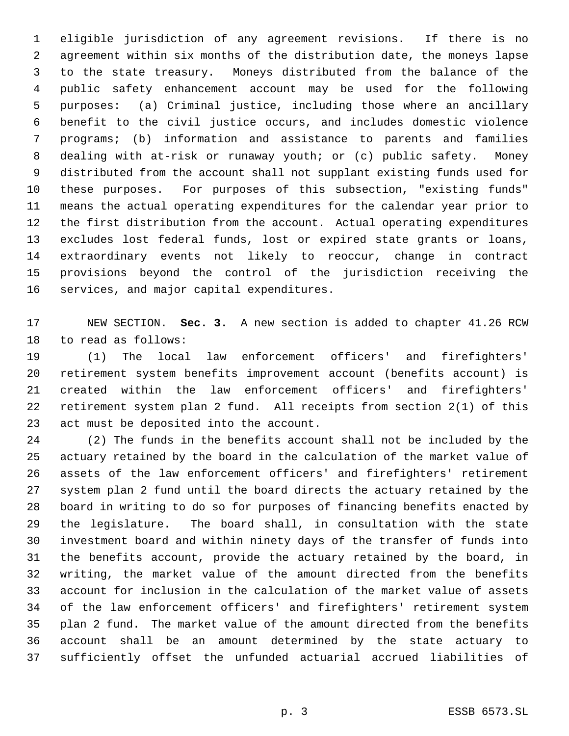eligible jurisdiction of any agreement revisions. If there is no agreement within six months of the distribution date, the moneys lapse to the state treasury. Moneys distributed from the balance of the public safety enhancement account may be used for the following purposes: (a) Criminal justice, including those where an ancillary benefit to the civil justice occurs, and includes domestic violence programs; (b) information and assistance to parents and families dealing with at-risk or runaway youth; or (c) public safety. Money distributed from the account shall not supplant existing funds used for these purposes. For purposes of this subsection, "existing funds" means the actual operating expenditures for the calendar year prior to the first distribution from the account. Actual operating expenditures excludes lost federal funds, lost or expired state grants or loans, extraordinary events not likely to reoccur, change in contract provisions beyond the control of the jurisdiction receiving the services, and major capital expenditures.

 NEW SECTION. **Sec. 3.** A new section is added to chapter 41.26 RCW to read as follows:

 (1) The local law enforcement officers' and firefighters' retirement system benefits improvement account (benefits account) is created within the law enforcement officers' and firefighters' retirement system plan 2 fund. All receipts from section 2(1) of this act must be deposited into the account.

 (2) The funds in the benefits account shall not be included by the actuary retained by the board in the calculation of the market value of assets of the law enforcement officers' and firefighters' retirement system plan 2 fund until the board directs the actuary retained by the board in writing to do so for purposes of financing benefits enacted by the legislature. The board shall, in consultation with the state investment board and within ninety days of the transfer of funds into the benefits account, provide the actuary retained by the board, in writing, the market value of the amount directed from the benefits account for inclusion in the calculation of the market value of assets of the law enforcement officers' and firefighters' retirement system plan 2 fund. The market value of the amount directed from the benefits account shall be an amount determined by the state actuary to sufficiently offset the unfunded actuarial accrued liabilities of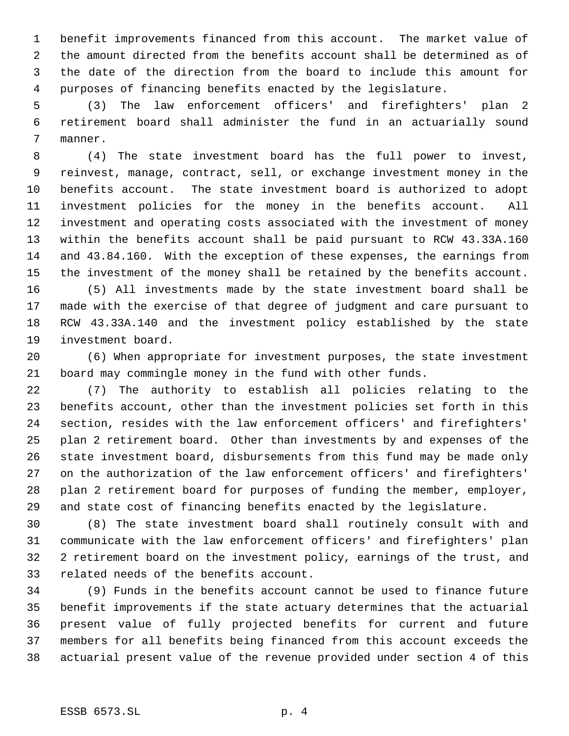benefit improvements financed from this account. The market value of the amount directed from the benefits account shall be determined as of the date of the direction from the board to include this amount for purposes of financing benefits enacted by the legislature.

 (3) The law enforcement officers' and firefighters' plan 2 retirement board shall administer the fund in an actuarially sound manner.

 (4) The state investment board has the full power to invest, reinvest, manage, contract, sell, or exchange investment money in the benefits account. The state investment board is authorized to adopt investment policies for the money in the benefits account. All investment and operating costs associated with the investment of money within the benefits account shall be paid pursuant to RCW 43.33A.160 and 43.84.160. With the exception of these expenses, the earnings from the investment of the money shall be retained by the benefits account. (5) All investments made by the state investment board shall be

 made with the exercise of that degree of judgment and care pursuant to RCW 43.33A.140 and the investment policy established by the state investment board.

 (6) When appropriate for investment purposes, the state investment board may commingle money in the fund with other funds.

 (7) The authority to establish all policies relating to the benefits account, other than the investment policies set forth in this section, resides with the law enforcement officers' and firefighters' plan 2 retirement board. Other than investments by and expenses of the state investment board, disbursements from this fund may be made only on the authorization of the law enforcement officers' and firefighters' plan 2 retirement board for purposes of funding the member, employer, and state cost of financing benefits enacted by the legislature.

 (8) The state investment board shall routinely consult with and communicate with the law enforcement officers' and firefighters' plan 2 retirement board on the investment policy, earnings of the trust, and related needs of the benefits account.

 (9) Funds in the benefits account cannot be used to finance future benefit improvements if the state actuary determines that the actuarial present value of fully projected benefits for current and future members for all benefits being financed from this account exceeds the actuarial present value of the revenue provided under section 4 of this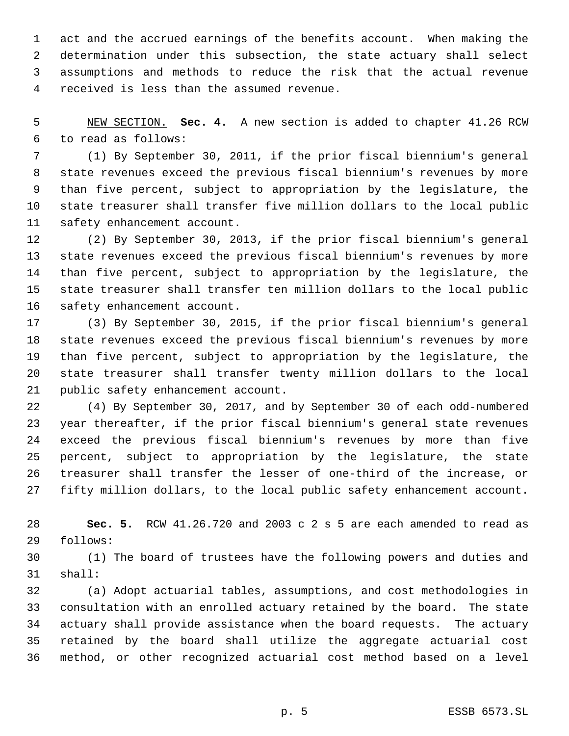act and the accrued earnings of the benefits account. When making the determination under this subsection, the state actuary shall select assumptions and methods to reduce the risk that the actual revenue received is less than the assumed revenue.

 NEW SECTION. **Sec. 4.** A new section is added to chapter 41.26 RCW to read as follows:

 (1) By September 30, 2011, if the prior fiscal biennium's general state revenues exceed the previous fiscal biennium's revenues by more than five percent, subject to appropriation by the legislature, the state treasurer shall transfer five million dollars to the local public safety enhancement account.

 (2) By September 30, 2013, if the prior fiscal biennium's general state revenues exceed the previous fiscal biennium's revenues by more than five percent, subject to appropriation by the legislature, the state treasurer shall transfer ten million dollars to the local public safety enhancement account.

 (3) By September 30, 2015, if the prior fiscal biennium's general state revenues exceed the previous fiscal biennium's revenues by more than five percent, subject to appropriation by the legislature, the state treasurer shall transfer twenty million dollars to the local public safety enhancement account.

 (4) By September 30, 2017, and by September 30 of each odd-numbered year thereafter, if the prior fiscal biennium's general state revenues exceed the previous fiscal biennium's revenues by more than five percent, subject to appropriation by the legislature, the state treasurer shall transfer the lesser of one-third of the increase, or fifty million dollars, to the local public safety enhancement account.

 **Sec. 5.** RCW 41.26.720 and 2003 c 2 s 5 are each amended to read as follows:

 (1) The board of trustees have the following powers and duties and shall:

 (a) Adopt actuarial tables, assumptions, and cost methodologies in consultation with an enrolled actuary retained by the board. The state actuary shall provide assistance when the board requests. The actuary retained by the board shall utilize the aggregate actuarial cost method, or other recognized actuarial cost method based on a level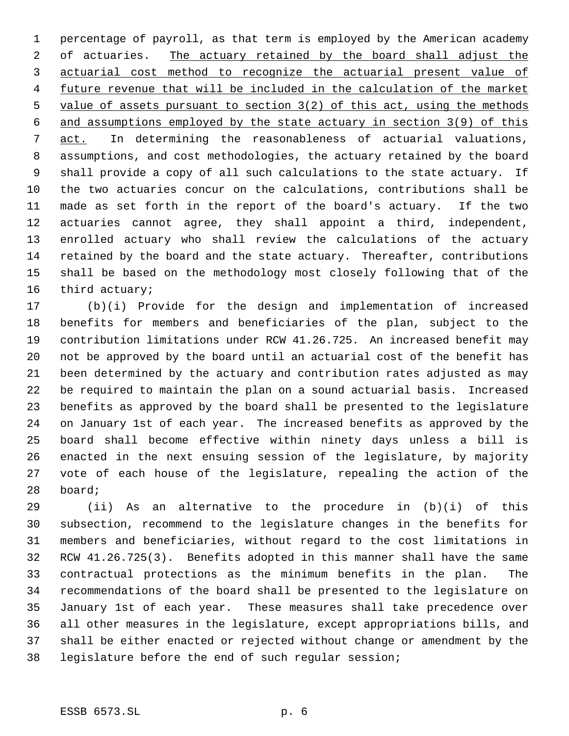percentage of payroll, as that term is employed by the American academy 2 of actuaries. The actuary retained by the board shall adjust the actuarial cost method to recognize the actuarial present value of future revenue that will be included in the calculation of the market 5 value of assets pursuant to section 3(2) of this act, using the methods and assumptions employed by the state actuary in section 3(9) of this act. In determining the reasonableness of actuarial valuations, assumptions, and cost methodologies, the actuary retained by the board shall provide a copy of all such calculations to the state actuary. If the two actuaries concur on the calculations, contributions shall be made as set forth in the report of the board's actuary. If the two actuaries cannot agree, they shall appoint a third, independent, enrolled actuary who shall review the calculations of the actuary retained by the board and the state actuary. Thereafter, contributions shall be based on the methodology most closely following that of the third actuary;

 (b)(i) Provide for the design and implementation of increased benefits for members and beneficiaries of the plan, subject to the contribution limitations under RCW 41.26.725. An increased benefit may not be approved by the board until an actuarial cost of the benefit has been determined by the actuary and contribution rates adjusted as may be required to maintain the plan on a sound actuarial basis. Increased benefits as approved by the board shall be presented to the legislature on January 1st of each year. The increased benefits as approved by the board shall become effective within ninety days unless a bill is enacted in the next ensuing session of the legislature, by majority vote of each house of the legislature, repealing the action of the board;

 (ii) As an alternative to the procedure in (b)(i) of this subsection, recommend to the legislature changes in the benefits for members and beneficiaries, without regard to the cost limitations in RCW 41.26.725(3). Benefits adopted in this manner shall have the same contractual protections as the minimum benefits in the plan. The recommendations of the board shall be presented to the legislature on January 1st of each year. These measures shall take precedence over all other measures in the legislature, except appropriations bills, and shall be either enacted or rejected without change or amendment by the legislature before the end of such regular session;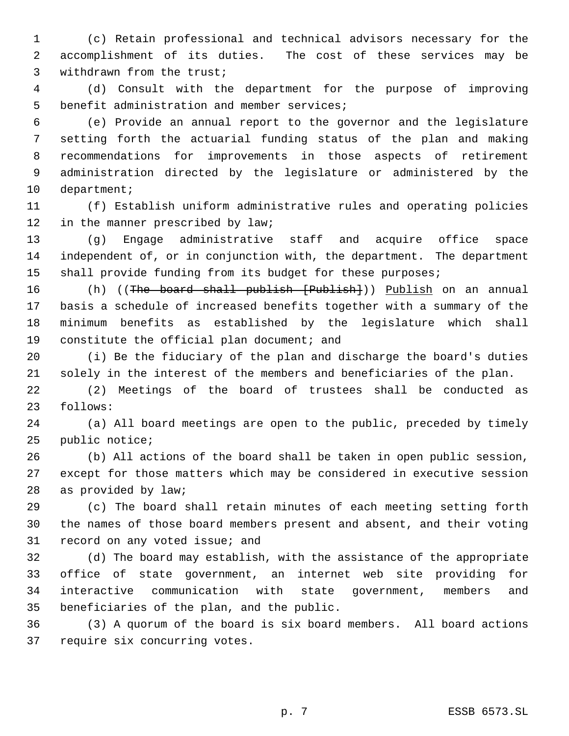(c) Retain professional and technical advisors necessary for the accomplishment of its duties. The cost of these services may be withdrawn from the trust;

 (d) Consult with the department for the purpose of improving benefit administration and member services;

 (e) Provide an annual report to the governor and the legislature setting forth the actuarial funding status of the plan and making recommendations for improvements in those aspects of retirement administration directed by the legislature or administered by the department;

 (f) Establish uniform administrative rules and operating policies 12 in the manner prescribed by law;

 (g) Engage administrative staff and acquire office space independent of, or in conjunction with, the department. The department 15 shall provide funding from its budget for these purposes;

16 (h) ((<del>The board shall publish [Publish]</del>)) <u>Publish</u> on an annual basis a schedule of increased benefits together with a summary of the minimum benefits as established by the legislature which shall constitute the official plan document; and

 (i) Be the fiduciary of the plan and discharge the board's duties solely in the interest of the members and beneficiaries of the plan.

 (2) Meetings of the board of trustees shall be conducted as follows:

 (a) All board meetings are open to the public, preceded by timely public notice;

 (b) All actions of the board shall be taken in open public session, except for those matters which may be considered in executive session as provided by law;

 (c) The board shall retain minutes of each meeting setting forth the names of those board members present and absent, and their voting record on any voted issue; and

 (d) The board may establish, with the assistance of the appropriate office of state government, an internet web site providing for interactive communication with state government, members and beneficiaries of the plan, and the public.

 (3) A quorum of the board is six board members. All board actions require six concurring votes.